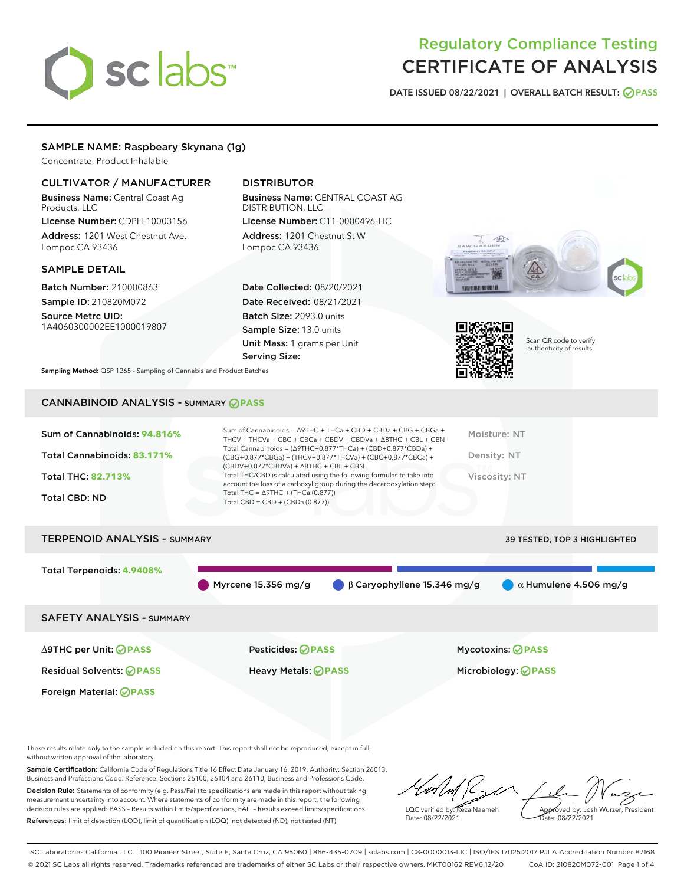# sclabs<sup>\*</sup>

# Regulatory Compliance Testing CERTIFICATE OF ANALYSIS

DATE ISSUED 08/22/2021 | OVERALL BATCH RESULT: @ PASS

# SAMPLE NAME: Raspbeary Skynana (1g)

Concentrate, Product Inhalable

# CULTIVATOR / MANUFACTURER

Business Name: Central Coast Ag Products, LLC

License Number: CDPH-10003156 Address: 1201 West Chestnut Ave. Lompoc CA 93436

# SAMPLE DETAIL

Batch Number: 210000863 Sample ID: 210820M072

Source Metrc UID: 1A4060300002EE1000019807

# DISTRIBUTOR

Business Name: CENTRAL COAST AG DISTRIBUTION, LLC License Number: C11-0000496-LIC

Address: 1201 Chestnut St W Lompoc CA 93436

Date Collected: 08/20/2021 Date Received: 08/21/2021 Batch Size: 2093.0 units Sample Size: 13.0 units Unit Mass: 1 grams per Unit Serving Size:





Scan QR code to verify authenticity of results.

Sampling Method: QSP 1265 - Sampling of Cannabis and Product Batches

# CANNABINOID ANALYSIS - SUMMARY **PASS**

| Sum of Cannabinoids: 94.816% | Sum of Cannabinoids = $\triangle$ 9THC + THCa + CBD + CBDa + CBG + CBGa +<br>THCV + THCVa + CBC + CBCa + CBDV + CBDVa + $\Delta$ 8THC + CBL + CBN                                    | Moisture: NT  |
|------------------------------|--------------------------------------------------------------------------------------------------------------------------------------------------------------------------------------|---------------|
| Total Cannabinoids: 83.171%  | Total Cannabinoids = $(\Delta$ 9THC+0.877*THCa) + (CBD+0.877*CBDa) +<br>(CBG+0.877*CBGa) + (THCV+0.877*THCVa) + (CBC+0.877*CBCa) +<br>$(CBDV+0.877*CBDVa) + \Delta 8THC + CBL + CBN$ | Density: NT   |
| <b>Total THC: 82.713%</b>    | Total THC/CBD is calculated using the following formulas to take into<br>account the loss of a carboxyl group during the decarboxylation step:                                       | Viscosity: NT |
| <b>Total CBD: ND</b>         | Total THC = $\triangle$ 9THC + (THCa (0.877))<br>Total CBD = $CBD + (CBDa (0.877))$                                                                                                  |               |
|                              |                                                                                                                                                                                      |               |

# TERPENOID ANALYSIS - SUMMARY 39 TESTED, TOP 3 HIGHLIGHTED Total Terpenoids: **4.9408%** Myrcene 15.356 mg/g  $\bigcirc$  β Caryophyllene 15.346 mg/g  $\bigcirc$  α Humulene 4.506 mg/g SAFETY ANALYSIS - SUMMARY

∆9THC per Unit: **PASS** Pesticides: **PASS** Mycotoxins: **PASS**

Foreign Material: **PASS**

Residual Solvents: **PASS** Heavy Metals: **PASS** Microbiology: **PASS**

These results relate only to the sample included on this report. This report shall not be reproduced, except in full, without written approval of the laboratory.

Sample Certification: California Code of Regulations Title 16 Effect Date January 16, 2019. Authority: Section 26013, Business and Professions Code. Reference: Sections 26100, 26104 and 26110, Business and Professions Code. Decision Rule: Statements of conformity (e.g. Pass/Fail) to specifications are made in this report without taking measurement uncertainty into account. Where statements of conformity are made in this report, the following decision rules are applied: PASS – Results within limits/specifications, FAIL – Results exceed limits/specifications.

References: limit of detection (LOD), limit of quantification (LOQ), not detected (ND), not tested (NT)

LQC verified by: Reza Naemeh Date: 08/22/2021 Approved by: Josh Wurzer, President ate: 08/22/2021

SC Laboratories California LLC. | 100 Pioneer Street, Suite E, Santa Cruz, CA 95060 | 866-435-0709 | sclabs.com | C8-0000013-LIC | ISO/IES 17025:2017 PJLA Accreditation Number 87168 © 2021 SC Labs all rights reserved. Trademarks referenced are trademarks of either SC Labs or their respective owners. MKT00162 REV6 12/20 CoA ID: 210820M072-001 Page 1 of 4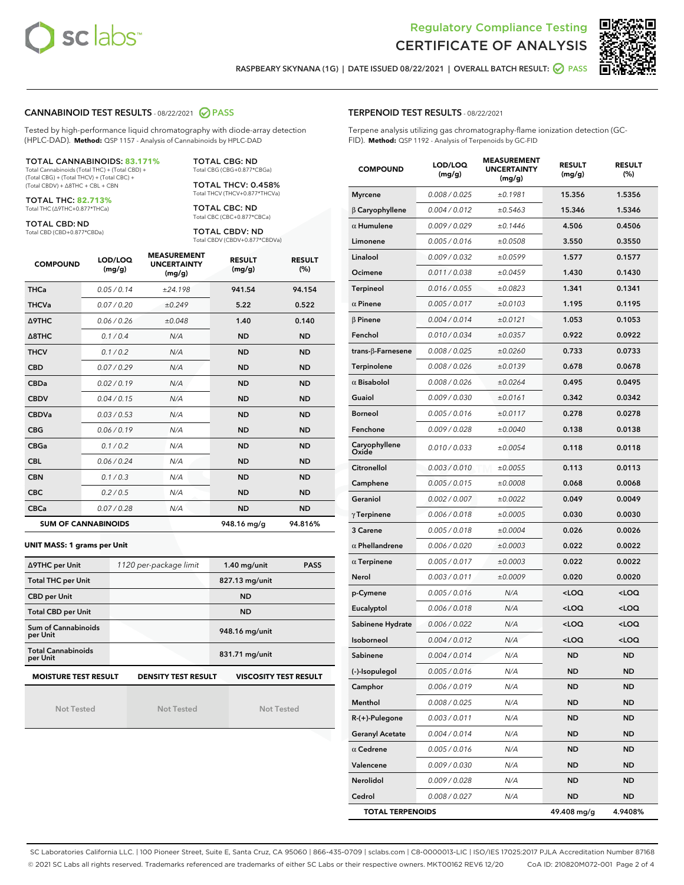



RASPBEARY SKYNANA (1G) | DATE ISSUED 08/22/2021 | OVERALL BATCH RESULT: @ PASS

# CANNABINOID TEST RESULTS - 08/22/2021 2 PASS

Tested by high-performance liquid chromatography with diode-array detection (HPLC-DAD). **Method:** QSP 1157 - Analysis of Cannabinoids by HPLC-DAD

#### TOTAL CANNABINOIDS: **83.171%**

Total Cannabinoids (Total THC) + (Total CBD) + (Total CBG) + (Total THCV) + (Total CBC) + (Total CBDV) + ∆8THC + CBL + CBN

TOTAL THC: **82.713%** Total THC (∆9THC+0.877\*THCa)

TOTAL CBD: ND

Total CBD (CBD+0.877\*CBDa)

TOTAL CBG: ND Total CBG (CBG+0.877\*CBGa)

TOTAL THCV: 0.458% Total THCV (THCV+0.877\*THCVa)

TOTAL CBC: ND Total CBC (CBC+0.877\*CBCa)

TOTAL CBDV: ND Total CBDV (CBDV+0.877\*CBDVa)

| <b>COMPOUND</b>  | LOD/LOQ<br>(mg/g)          | <b>MEASUREMENT</b><br><b>UNCERTAINTY</b><br>(mg/g) | <b>RESULT</b><br>(mg/g) | <b>RESULT</b><br>(%) |
|------------------|----------------------------|----------------------------------------------------|-------------------------|----------------------|
| <b>THCa</b>      | 0.05/0.14                  | ±24.198                                            | 941.54                  | 94.154               |
| <b>THCVa</b>     | 0.07 / 0.20                | ±0.249                                             | 5.22                    | 0.522                |
| <b>A9THC</b>     | 0.06 / 0.26                | ±0.048                                             | 1.40                    | 0.140                |
| $\triangle$ 8THC | 0.1/0.4                    | N/A                                                | <b>ND</b>               | <b>ND</b>            |
| <b>THCV</b>      | 0.1/0.2                    | N/A                                                | <b>ND</b>               | <b>ND</b>            |
| <b>CBD</b>       | 0.07/0.29                  | N/A                                                | <b>ND</b>               | <b>ND</b>            |
| <b>CBDa</b>      | 0.02/0.19                  | N/A                                                | <b>ND</b>               | <b>ND</b>            |
| <b>CBDV</b>      | 0.04/0.15                  | N/A                                                | <b>ND</b>               | <b>ND</b>            |
| <b>CBDVa</b>     | 0.03 / 0.53                | N/A                                                | <b>ND</b>               | <b>ND</b>            |
| <b>CBG</b>       | 0.06/0.19                  | N/A                                                | <b>ND</b>               | <b>ND</b>            |
| <b>CBGa</b>      | 0.1/0.2                    | N/A                                                | <b>ND</b>               | <b>ND</b>            |
| <b>CBL</b>       | 0.06 / 0.24                | N/A                                                | <b>ND</b>               | <b>ND</b>            |
| <b>CBN</b>       | 0.1/0.3                    | N/A                                                | <b>ND</b>               | <b>ND</b>            |
| <b>CBC</b>       | 0.2 / 0.5                  | N/A                                                | <b>ND</b>               | <b>ND</b>            |
| <b>CBCa</b>      | 0.07 / 0.28                | N/A                                                | <b>ND</b>               | <b>ND</b>            |
|                  | <b>SUM OF CANNABINOIDS</b> |                                                    | 948.16 mg/g             | 94.816%              |

#### **UNIT MASS: 1 grams per Unit**

| ∆9THC per Unit                        | 1120 per-package limit     | $1.40$ mg/unit               | <b>PASS</b> |
|---------------------------------------|----------------------------|------------------------------|-------------|
| <b>Total THC per Unit</b>             |                            | 827.13 mg/unit               |             |
| <b>CBD per Unit</b>                   |                            | <b>ND</b>                    |             |
| <b>Total CBD per Unit</b>             |                            | <b>ND</b>                    |             |
| Sum of Cannabinoids<br>per Unit       |                            | 948.16 mg/unit               |             |
| <b>Total Cannabinoids</b><br>per Unit |                            | 831.71 mg/unit               |             |
| <b>MOISTURE TEST RESULT</b>           | <b>DENSITY TEST RESULT</b> | <b>VISCOSITY TEST RESULT</b> |             |

Not Tested

Not Tested

Not Tested

## TERPENOID TEST RESULTS - 08/22/2021

Terpene analysis utilizing gas chromatography-flame ionization detection (GC-FID). **Method:** QSP 1192 - Analysis of Terpenoids by GC-FID

| <b>COMPOUND</b>           | LOD/LOQ<br>(mg/g) | <b>MEASUREMENT</b><br><b>UNCERTAINTY</b><br>(mg/g) | <b>RESULT</b><br>(mg/g)                         | <b>RESULT</b><br>(%) |
|---------------------------|-------------------|----------------------------------------------------|-------------------------------------------------|----------------------|
| <b>Myrcene</b>            | 0.008 / 0.025     | ±0.1981                                            | 15.356                                          | 1.5356               |
| $\beta$ Caryophyllene     | 0.004 / 0.012     | ±0.5463                                            | 15.346                                          | 1.5346               |
| $\alpha$ Humulene         | 0.009/0.029       | ±0.1446                                            | 4.506                                           | 0.4506               |
| Limonene                  | 0.005 / 0.016     | ±0.0508                                            | 3.550                                           | 0.3550               |
| Linalool                  | 0.009 / 0.032     | ±0.0599                                            | 1.577                                           | 0.1577               |
| Ocimene                   | 0.011 / 0.038     | ±0.0459                                            | 1.430                                           | 0.1430               |
| <b>Terpineol</b>          | 0.016 / 0.055     | ±0.0823                                            | 1.341                                           | 0.1341               |
| $\alpha$ Pinene           | 0.005 / 0.017     | ±0.0103                                            | 1.195                                           | 0.1195               |
| $\beta$ Pinene            | 0.004 / 0.014     | ±0.0121                                            | 1.053                                           | 0.1053               |
| Fenchol                   | 0.010 / 0.034     | ±0.0357                                            | 0.922                                           | 0.0922               |
| trans- $\beta$ -Farnesene | 0.008 / 0.025     | ±0.0260                                            | 0.733                                           | 0.0733               |
| Terpinolene               | 0.008 / 0.026     | ±0.0139                                            | 0.678                                           | 0.0678               |
| $\alpha$ Bisabolol        | 0.008 / 0.026     | ±0.0264                                            | 0.495                                           | 0.0495               |
| Guaiol                    | 0.009 / 0.030     | ±0.0161                                            | 0.342                                           | 0.0342               |
| <b>Borneol</b>            | 0.005 / 0.016     | ±0.0117                                            | 0.278                                           | 0.0278               |
| Fenchone                  | 0.009 / 0.028     | ±0.0040                                            | 0.138                                           | 0.0138               |
| Caryophyllene<br>Oxide    | 0.010 / 0.033     | ±0.0054                                            | 0.118                                           | 0.0118               |
| Citronellol               | 0.003 / 0.010     | ±0.0055                                            | 0.113                                           | 0.0113               |
| Camphene                  | 0.005 / 0.015     | ±0.0008                                            | 0.068                                           | 0.0068               |
| Geraniol                  | 0.002 / 0.007     | ±0.0022                                            | 0.049                                           | 0.0049               |
| $\gamma$ Terpinene        | 0.006 / 0.018     | ±0.0005                                            | 0.030                                           | 0.0030               |
| 3 Carene                  | 0.005 / 0.018     | ±0.0004                                            | 0.026                                           | 0.0026               |
| $\alpha$ Phellandrene     | 0.006 / 0.020     | ±0.0003                                            | 0.022                                           | 0.0022               |
| $\alpha$ Terpinene        | 0.005 / 0.017     | ±0.0003                                            | 0.022                                           | 0.0022               |
| Nerol                     | 0.003 / 0.011     | ±0.0009                                            | 0.020                                           | 0.0020               |
| p-Cymene                  | 0.005 / 0.016     | N/A                                                | <loq< th=""><th><loq< th=""></loq<></th></loq<> | <loq< th=""></loq<>  |
| Eucalyptol                | 0.006 / 0.018     | N/A                                                | <loq< th=""><th><loq< th=""></loq<></th></loq<> | <loq< th=""></loq<>  |
| Sabinene Hydrate          | 0.006 / 0.022     | N/A                                                | <loq< th=""><th><loq< th=""></loq<></th></loq<> | <loq< th=""></loq<>  |
| Isoborneol                | 0.004 / 0.012     | N/A                                                | <loq< th=""><th><loq< th=""></loq<></th></loq<> | <loq< th=""></loq<>  |
| Sabinene                  | 0.004 / 0.014     | N/A                                                | <b>ND</b>                                       | <b>ND</b>            |
| (-)-Isopulegol            | 0.005 / 0.016     | N/A                                                | ND                                              | ND                   |
| Camphor                   | 0.006 / 0.019     | N/A                                                | ND                                              | ND                   |
| Menthol                   | 0.008 / 0.025     | N/A                                                | <b>ND</b>                                       | ND                   |
| $R-(+)$ -Pulegone         | 0.003 / 0.011     | N/A                                                | ND                                              | ND                   |
| <b>Geranyl Acetate</b>    | 0.004 / 0.014     | N/A                                                | ND                                              | ND                   |
| $\alpha$ Cedrene          | 0.005 / 0.016     | N/A                                                | <b>ND</b>                                       | ND                   |
| Valencene                 | 0.009 / 0.030     | N/A                                                | ND                                              | ND                   |
| Nerolidol                 | 0.009 / 0.028     | N/A                                                | ND                                              | ND                   |
| Cedrol                    | 0.008 / 0.027     | N/A                                                | <b>ND</b>                                       | <b>ND</b>            |
| <b>TOTAL TERPENOIDS</b>   |                   |                                                    | 49.408 mg/g                                     | 4.9408%              |

SC Laboratories California LLC. | 100 Pioneer Street, Suite E, Santa Cruz, CA 95060 | 866-435-0709 | sclabs.com | C8-0000013-LIC | ISO/IES 17025:2017 PJLA Accreditation Number 87168 © 2021 SC Labs all rights reserved. Trademarks referenced are trademarks of either SC Labs or their respective owners. MKT00162 REV6 12/20 CoA ID: 210820M072-001 Page 2 of 4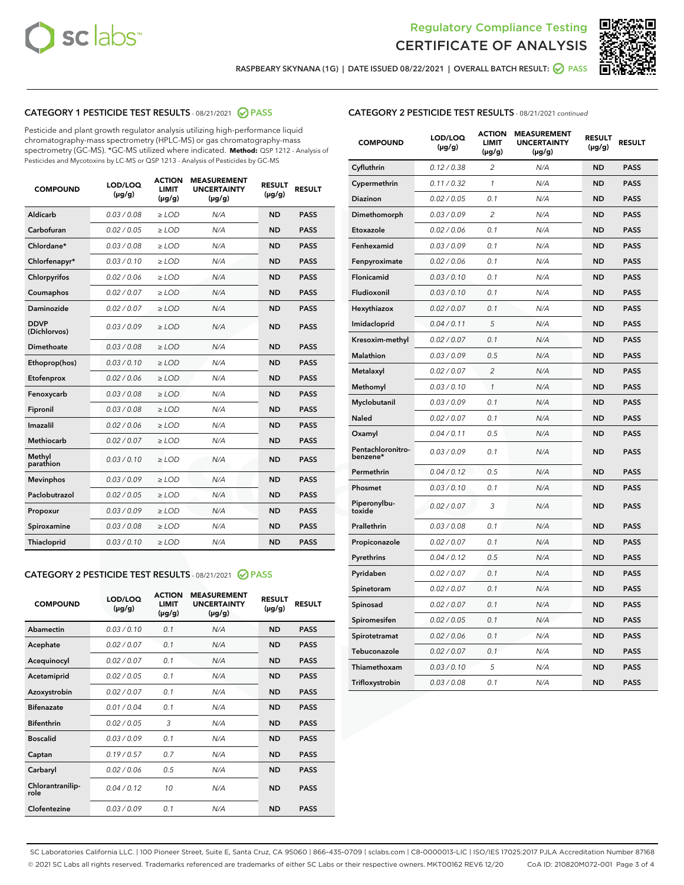



RASPBEARY SKYNANA (1G) | DATE ISSUED 08/22/2021 | OVERALL BATCH RESULT: @ PASS

# CATEGORY 1 PESTICIDE TEST RESULTS - 08/21/2021 2 PASS

Pesticide and plant growth regulator analysis utilizing high-performance liquid chromatography-mass spectrometry (HPLC-MS) or gas chromatography-mass spectrometry (GC-MS). \*GC-MS utilized where indicated. **Method:** QSP 1212 - Analysis of Pesticides and Mycotoxins by LC-MS or QSP 1213 - Analysis of Pesticides by GC-MS

| <b>COMPOUND</b>             | LOD/LOQ<br>$(\mu g/g)$ | <b>ACTION</b><br><b>LIMIT</b><br>$(\mu g/g)$ | <b>MEASUREMENT</b><br><b>UNCERTAINTY</b><br>$(\mu g/g)$ | <b>RESULT</b><br>$(\mu g/g)$ | <b>RESULT</b> |
|-----------------------------|------------------------|----------------------------------------------|---------------------------------------------------------|------------------------------|---------------|
| Aldicarb                    | 0.03/0.08              | $>$ LOD                                      | N/A                                                     | <b>ND</b>                    | <b>PASS</b>   |
| Carbofuran                  | 0.02 / 0.05            | $\ge$ LOD                                    | N/A                                                     | <b>ND</b>                    | <b>PASS</b>   |
| Chlordane*                  | 0.03 / 0.08            | $\geq$ LOD                                   | N/A                                                     | <b>ND</b>                    | <b>PASS</b>   |
| Chlorfenapyr*               | 0.03/0.10              | $\ge$ LOD                                    | N/A                                                     | <b>ND</b>                    | <b>PASS</b>   |
| Chlorpyrifos                | 0.02 / 0.06            | $\ge$ LOD                                    | N/A                                                     | <b>ND</b>                    | <b>PASS</b>   |
| Coumaphos                   | 0.02 / 0.07            | $\ge$ LOD                                    | N/A                                                     | <b>ND</b>                    | <b>PASS</b>   |
| Daminozide                  | 0.02/0.07              | $>$ LOD                                      | N/A                                                     | <b>ND</b>                    | <b>PASS</b>   |
| <b>DDVP</b><br>(Dichlorvos) | 0.03/0.09              | $\ge$ LOD                                    | N/A                                                     | <b>ND</b>                    | <b>PASS</b>   |
| <b>Dimethoate</b>           | 0.03/0.08              | $\ge$ LOD                                    | N/A                                                     | <b>ND</b>                    | <b>PASS</b>   |
| Ethoprop(hos)               | 0.03/0.10              | $\ge$ LOD                                    | N/A                                                     | <b>ND</b>                    | <b>PASS</b>   |
| Etofenprox                  | 0.02 / 0.06            | $\ge$ LOD                                    | N/A                                                     | <b>ND</b>                    | <b>PASS</b>   |
| Fenoxycarb                  | 0.03/0.08              | $\ge$ LOD                                    | N/A                                                     | <b>ND</b>                    | <b>PASS</b>   |
| Fipronil                    | 0.03/0.08              | $\ge$ LOD                                    | N/A                                                     | <b>ND</b>                    | <b>PASS</b>   |
| Imazalil                    | 0.02 / 0.06            | $>$ LOD                                      | N/A                                                     | <b>ND</b>                    | <b>PASS</b>   |
| Methiocarb                  | 0.02 / 0.07            | $>$ LOD                                      | N/A                                                     | <b>ND</b>                    | <b>PASS</b>   |
| Methyl<br>parathion         | 0.03/0.10              | $>$ LOD                                      | N/A                                                     | <b>ND</b>                    | <b>PASS</b>   |
| <b>Mevinphos</b>            | 0.03/0.09              | $\ge$ LOD                                    | N/A                                                     | <b>ND</b>                    | <b>PASS</b>   |
| Paclobutrazol               | 0.02 / 0.05            | $>$ LOD                                      | N/A                                                     | <b>ND</b>                    | <b>PASS</b>   |
| Propoxur                    | 0.03/0.09              | $\ge$ LOD                                    | N/A                                                     | <b>ND</b>                    | <b>PASS</b>   |
| Spiroxamine                 | 0.03 / 0.08            | $\ge$ LOD                                    | N/A                                                     | <b>ND</b>                    | <b>PASS</b>   |
| Thiacloprid                 | 0.03/0.10              | $\ge$ LOD                                    | N/A                                                     | <b>ND</b>                    | <b>PASS</b>   |

## CATEGORY 2 PESTICIDE TEST RESULTS - 08/21/2021 @ PASS

| <b>COMPOUND</b>          | LOD/LOO<br>$(\mu g/g)$ | <b>ACTION</b><br>LIMIT<br>$(\mu g/g)$ | <b>MEASUREMENT</b><br><b>UNCERTAINTY</b><br>$(\mu g/g)$ | <b>RESULT</b><br>$(\mu g/g)$ | <b>RESULT</b> |  |
|--------------------------|------------------------|---------------------------------------|---------------------------------------------------------|------------------------------|---------------|--|
| Abamectin                | 0.03/0.10              | 0.1                                   | N/A                                                     | <b>ND</b>                    | <b>PASS</b>   |  |
| Acephate                 | 0.02/0.07              | 0.1                                   | N/A                                                     | <b>ND</b>                    | <b>PASS</b>   |  |
| Acequinocyl              | 0.02/0.07              | 0.1                                   | N/A                                                     | <b>ND</b>                    | <b>PASS</b>   |  |
| Acetamiprid              | 0.02 / 0.05            | 0.1                                   | N/A                                                     | <b>ND</b>                    | <b>PASS</b>   |  |
| Azoxystrobin             | 0.02/0.07              | 0.1                                   | N/A                                                     | <b>ND</b>                    | <b>PASS</b>   |  |
| <b>Bifenazate</b>        | 0.01 / 0.04            | 0.1                                   | N/A                                                     | <b>ND</b>                    | <b>PASS</b>   |  |
| <b>Bifenthrin</b>        | 0.02 / 0.05            | 3                                     | N/A                                                     | <b>ND</b>                    | <b>PASS</b>   |  |
| <b>Boscalid</b>          | 0.03/0.09              | 0.1                                   | N/A                                                     | <b>ND</b>                    | <b>PASS</b>   |  |
| Captan                   | 0.19/0.57              | 0.7                                   | N/A                                                     | <b>ND</b>                    | <b>PASS</b>   |  |
| Carbaryl                 | 0.02/0.06              | 0.5                                   | N/A                                                     | <b>ND</b>                    | <b>PASS</b>   |  |
| Chlorantranilip-<br>role | 0.04/0.12              | 10                                    | N/A                                                     | <b>ND</b>                    | <b>PASS</b>   |  |
| Clofentezine             | 0.03/0.09              | 0.1                                   | N/A                                                     | <b>ND</b>                    | <b>PASS</b>   |  |

|  | <b>CATEGORY 2 PESTICIDE TEST RESULTS</b> - 08/21/2021 continued |
|--|-----------------------------------------------------------------|
|  |                                                                 |

| <b>COMPOUND</b>               | LOD/LOQ<br>(µg/g) | <b>ACTION</b><br>LIMIT<br>(µg/g) | <b>MEASUREMENT</b><br><b>UNCERTAINTY</b><br>(µg/g) | <b>RESULT</b><br>(µg/g) | <b>RESULT</b> |
|-------------------------------|-------------------|----------------------------------|----------------------------------------------------|-------------------------|---------------|
| Cyfluthrin                    | 0.12 / 0.38       | $\overline{c}$                   | N/A                                                | <b>ND</b>               | <b>PASS</b>   |
| Cypermethrin                  | 0.11/0.32         | 1                                | N/A                                                | <b>ND</b>               | <b>PASS</b>   |
| <b>Diazinon</b>               | 0.02 / 0.05       | 0.1                              | N/A                                                | <b>ND</b>               | <b>PASS</b>   |
| Dimethomorph                  | 0.03 / 0.09       | 2                                | N/A                                                | <b>ND</b>               | <b>PASS</b>   |
| Etoxazole                     | 0.02 / 0.06       | 0.1                              | N/A                                                | <b>ND</b>               | <b>PASS</b>   |
| Fenhexamid                    | 0.03 / 0.09       | 0.1                              | N/A                                                | <b>ND</b>               | <b>PASS</b>   |
| Fenpyroximate                 | 0.02 / 0.06       | 0.1                              | N/A                                                | <b>ND</b>               | <b>PASS</b>   |
| Flonicamid                    | 0.03 / 0.10       | 0.1                              | N/A                                                | <b>ND</b>               | <b>PASS</b>   |
| Fludioxonil                   | 0.03/0.10         | 0.1                              | N/A                                                | <b>ND</b>               | <b>PASS</b>   |
| Hexythiazox                   | 0.02 / 0.07       | 0.1                              | N/A                                                | <b>ND</b>               | <b>PASS</b>   |
| Imidacloprid                  | 0.04 / 0.11       | 5                                | N/A                                                | <b>ND</b>               | <b>PASS</b>   |
| Kresoxim-methyl               | 0.02 / 0.07       | 0.1                              | N/A                                                | <b>ND</b>               | <b>PASS</b>   |
| <b>Malathion</b>              | 0.03 / 0.09       | 0.5                              | N/A                                                | <b>ND</b>               | <b>PASS</b>   |
| Metalaxyl                     | 0.02 / 0.07       | $\overline{c}$                   | N/A                                                | <b>ND</b>               | <b>PASS</b>   |
| Methomyl                      | 0.03 / 0.10       | 1                                | N/A                                                | <b>ND</b>               | <b>PASS</b>   |
| Myclobutanil                  | 0.03/0.09         | 0.1                              | N/A                                                | <b>ND</b>               | <b>PASS</b>   |
| Naled                         | 0.02 / 0.07       | 0.1                              | N/A                                                | <b>ND</b>               | <b>PASS</b>   |
| Oxamyl                        | 0.04 / 0.11       | 0.5                              | N/A                                                | <b>ND</b>               | <b>PASS</b>   |
| Pentachloronitro-<br>benzene* | 0.03/0.09         | 0.1                              | N/A                                                | <b>ND</b>               | <b>PASS</b>   |
| Permethrin                    | 0.04 / 0.12       | 0.5                              | N/A                                                | <b>ND</b>               | <b>PASS</b>   |
| Phosmet                       | 0.03 / 0.10       | 0.1                              | N/A                                                | <b>ND</b>               | <b>PASS</b>   |
| Piperonylbu-<br>toxide        | 0.02 / 0.07       | 3                                | N/A                                                | <b>ND</b>               | <b>PASS</b>   |
| Prallethrin                   | 0.03 / 0.08       | 0.1                              | N/A                                                | <b>ND</b>               | <b>PASS</b>   |
| Propiconazole                 | 0.02 / 0.07       | 0.1                              | N/A                                                | <b>ND</b>               | <b>PASS</b>   |
| Pyrethrins                    | 0.04 / 0.12       | 0.5                              | N/A                                                | <b>ND</b>               | <b>PASS</b>   |
| Pyridaben                     | 0.02 / 0.07       | 0.1                              | N/A                                                | <b>ND</b>               | <b>PASS</b>   |
| Spinetoram                    | 0.02 / 0.07       | 0.1                              | N/A                                                | <b>ND</b>               | <b>PASS</b>   |
| Spinosad                      | 0.02 / 0.07       | 0.1                              | N/A                                                | <b>ND</b>               | <b>PASS</b>   |
| Spiromesifen                  | 0.02 / 0.05       | 0.1                              | N/A                                                | <b>ND</b>               | <b>PASS</b>   |
| Spirotetramat                 | 0.02 / 0.06       | 0.1                              | N/A                                                | <b>ND</b>               | <b>PASS</b>   |
| Tebuconazole                  | 0.02 / 0.07       | 0.1                              | N/A                                                | <b>ND</b>               | <b>PASS</b>   |
| Thiamethoxam                  | 0.03 / 0.10       | 5                                | N/A                                                | <b>ND</b>               | <b>PASS</b>   |
| Trifloxystrobin               | 0.03 / 0.08       | 0.1                              | N/A                                                | <b>ND</b>               | <b>PASS</b>   |

SC Laboratories California LLC. | 100 Pioneer Street, Suite E, Santa Cruz, CA 95060 | 866-435-0709 | sclabs.com | C8-0000013-LIC | ISO/IES 17025:2017 PJLA Accreditation Number 87168 © 2021 SC Labs all rights reserved. Trademarks referenced are trademarks of either SC Labs or their respective owners. MKT00162 REV6 12/20 CoA ID: 210820M072-001 Page 3 of 4